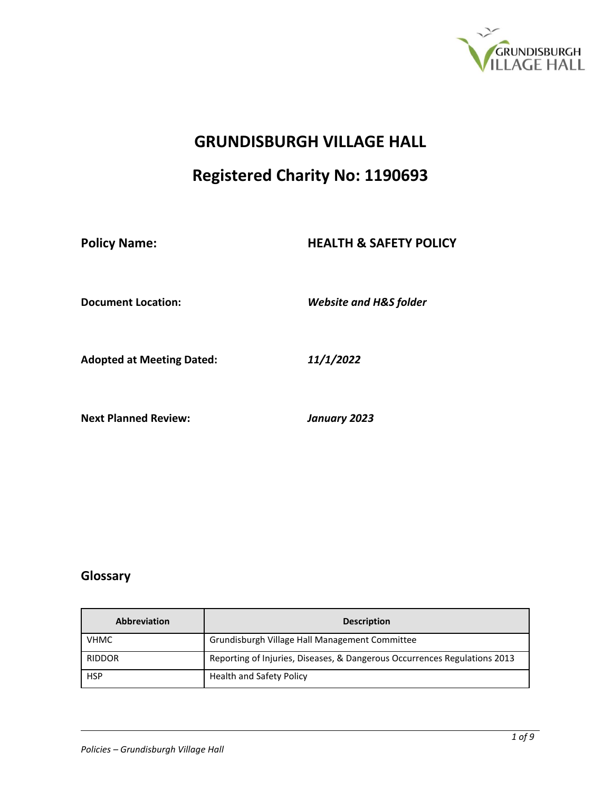

# **GRUNDISBURGH VILLAGE HALL Registered Charity No: 1190693**

#### **Policy Name: HEALTH & SAFETY POLICY**

**Document Location:** *Website and H&S folder* 

**Adopted at Meeting Dated:** *11/1/2022*

**Next Planned Review:** *January 2023*

# **Glossary**

| <b>Abbreviation</b> | <b>Description</b>                                                        |
|---------------------|---------------------------------------------------------------------------|
| <b>VHMC</b>         | Grundisburgh Village Hall Management Committee                            |
| <b>RIDDOR</b>       | Reporting of Injuries, Diseases, & Dangerous Occurrences Regulations 2013 |
| <b>HSP</b>          | <b>Health and Safety Policy</b>                                           |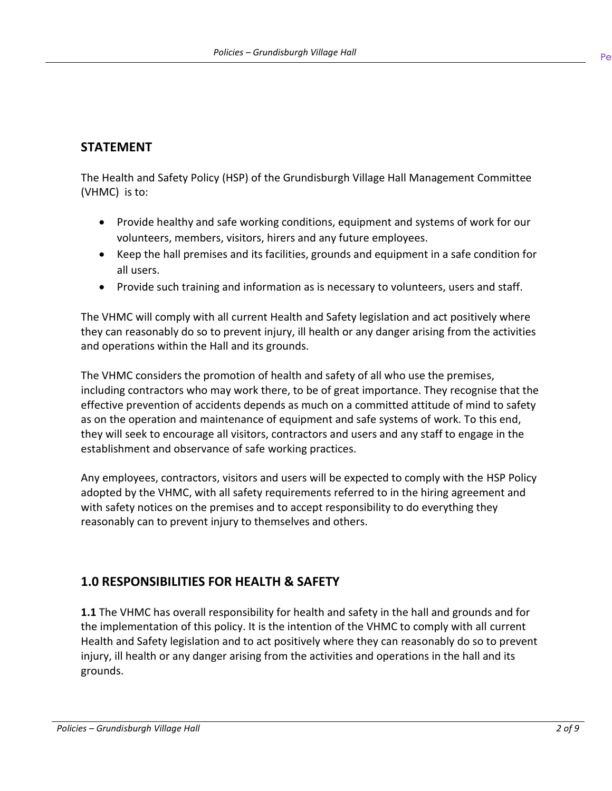## **STATEMENT**

The Health and Safety Policy (HSP) of the Grundisburgh Village Hall Management Committee (VHMC) is to:

- Provide healthy and safe working conditions, equipment and systems of work for our volunteers, members, visitors, hirers and any future employees.
- Keep the hall premises and its facilities, grounds and equipment in a safe condition for all users.
- Provide such training and information as is necessary to volunteers, users and staff.

The VHMC will comply with all current Health and Safety legislation and act positively where they can reasonably do so to prevent injury, ill health or any danger arising from the activities and operations within the Hall and its grounds.

The VHMC considers the promotion of health and safety of all who use the premises, including contractors who may work there, to be of great importance. They recognise that the effective prevention of accidents depends as much on a committed attitude of mind to safety as on the operation and maintenance of equipment and safe systems of work. To this end, they will seek to encourage all visitors, contractors and users and any staff to engage in the establishment and observance of safe working practices.

Any employees, contractors, visitors and users will be expected to comply with the HSP Policy adopted by the VHMC, with all safety requirements referred to in the hiring agreement and with safety notices on the premises and to accept responsibility to do everything they reasonably can to prevent injury to themselves and others.

## **1.0 RESPONSIBILITIES FOR HEALTH & SAFETY**

**1.1** The VHMC has overall responsibility for health and safety in the hall and grounds and for the implementation of this policy. It is the intention of the VHMC to comply with all current Health and Safety legislation and to act positively where they can reasonably do so to prevent injury, ill health or any danger arising from the activities and operations in the hall and its grounds.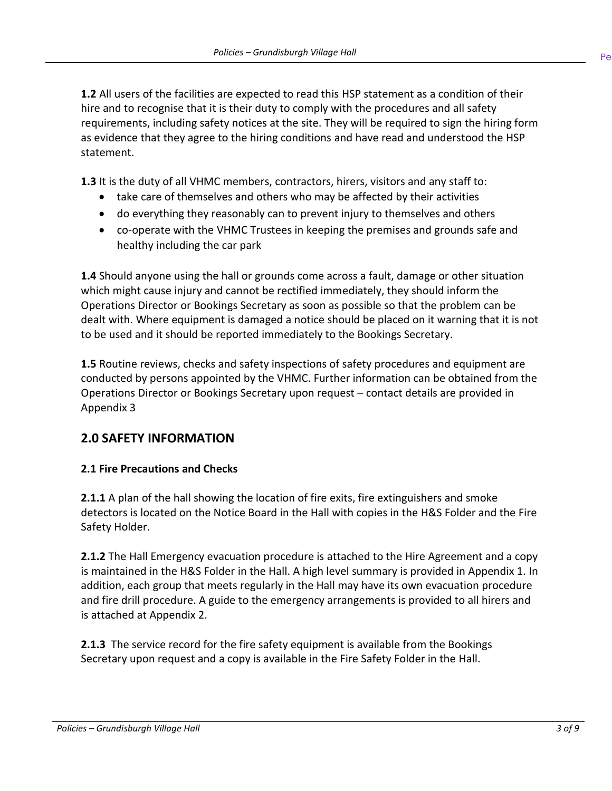**1.2** All users of the facilities are expected to read this HSP statement as a condition of their hire and to recognise that it is their duty to comply with the procedures and all safety requirements, including safety notices at the site. They will be required to sign the hiring form as evidence that they agree to the hiring conditions and have read and understood the HSP statement.

**1.3** It is the duty of all VHMC members, contractors, hirers, visitors and any staff to:

- take care of themselves and others who may be affected by their activities
- do everything they reasonably can to prevent injury to themselves and others
- co-operate with the VHMC Trustees in keeping the premises and grounds safe and healthy including the car park

**1.4** Should anyone using the hall or grounds come across a fault, damage or other situation which might cause injury and cannot be rectified immediately, they should inform the Operations Director or Bookings Secretary as soon as possible so that the problem can be dealt with. Where equipment is damaged a notice should be placed on it warning that it is not to be used and it should be reported immediately to the Bookings Secretary.

**1.5** Routine reviews, checks and safety inspections of safety procedures and equipment are conducted by persons appointed by the VHMC. Further information can be obtained from the Operations Director or Bookings Secretary upon request – contact details are provided in Appendix 3

# **2.0 SAFETY INFORMATION**

#### **2.1 Fire Precautions and Checks**

**2.1.1** A plan of the hall showing the location of fire exits, fire extinguishers and smoke detectors is located on the Notice Board in the Hall with copies in the H&S Folder and the Fire Safety Holder.

**2.1.2** The Hall Emergency evacuation procedure is attached to the Hire Agreement and a copy is maintained in the H&S Folder in the Hall. A high level summary is provided in Appendix 1. In addition, each group that meets regularly in the Hall may have its own evacuation procedure and fire drill procedure. A guide to the emergency arrangements is provided to all hirers and is attached at Appendix 2.

**2.1.3** The service record for the fire safety equipment is available from the Bookings Secretary upon request and a copy is available in the Fire Safety Folder in the Hall.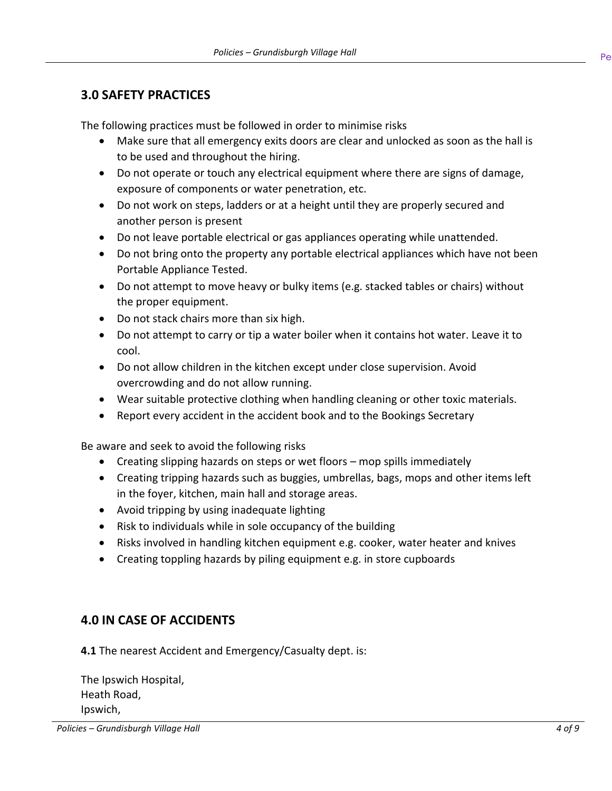## **3.0 SAFETY PRACTICES**

The following practices must be followed in order to minimise risks

- Make sure that all emergency exits doors are clear and unlocked as soon as the hall is to be used and throughout the hiring.
- Do not operate or touch any electrical equipment where there are signs of damage, exposure of components or water penetration, etc.
- Do not work on steps, ladders or at a height until they are properly secured and another person is present
- Do not leave portable electrical or gas appliances operating while unattended.
- Do not bring onto the property any portable electrical appliances which have not been Portable Appliance Tested.
- Do not attempt to move heavy or bulky items (e.g. stacked tables or chairs) without the proper equipment.
- Do not stack chairs more than six high.
- Do not attempt to carry or tip a water boiler when it contains hot water. Leave it to cool.
- Do not allow children in the kitchen except under close supervision. Avoid overcrowding and do not allow running.
- Wear suitable protective clothing when handling cleaning or other toxic materials.
- Report every accident in the accident book and to the Bookings Secretary

Be aware and seek to avoid the following risks

- Creating slipping hazards on steps or wet floors mop spills immediately
- Creating tripping hazards such as buggies, umbrellas, bags, mops and other items left in the foyer, kitchen, main hall and storage areas.
- Avoid tripping by using inadequate lighting
- Risk to individuals while in sole occupancy of the building
- Risks involved in handling kitchen equipment e.g. cooker, water heater and knives
- Creating toppling hazards by piling equipment e.g. in store cupboards

## **4.0 IN CASE OF ACCIDENTS**

**4.1** The nearest Accident and Emergency/Casualty dept. is:

The Ipswich Hospital, Heath Road, Ipswich,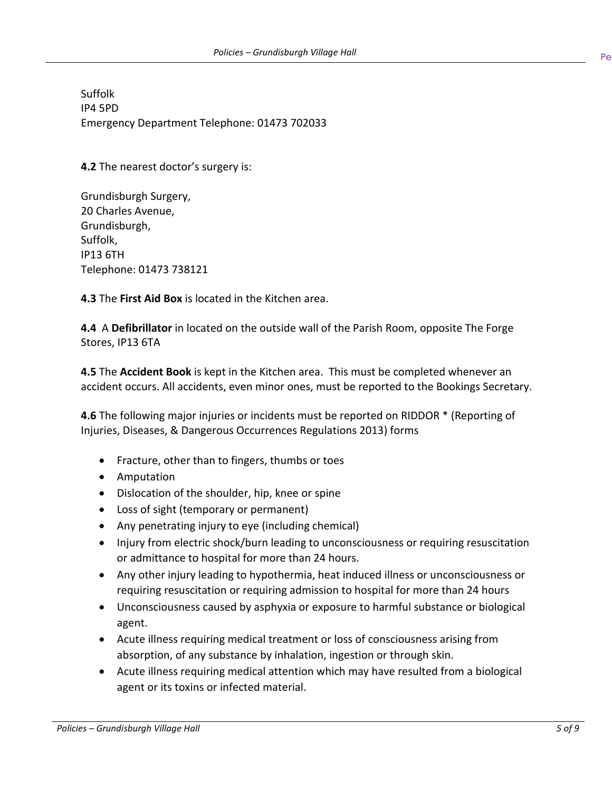Suffolk IP4 5PD Emergency Department Telephone: 01473 702033

**4.2** The nearest doctor's surgery is:

Grundisburgh Surgery, 20 Charles Avenue, Grundisburgh, Suffolk, IP13 6TH Telephone: 01473 738121

**4.3** The **First Aid Box** is located in the Kitchen area.

**4.4** A **Defibrillator** in located on the outside wall of the Parish Room, opposite The Forge Stores, IP13 6TA

**4.5** The **Accident Book** is kept in the Kitchen area. This must be completed whenever an accident occurs. All accidents, even minor ones, must be reported to the Bookings Secretary.

**4.6** The following major injuries or incidents must be reported on RIDDOR \* (Reporting of Injuries, Diseases, & Dangerous Occurrences Regulations 2013) forms

- Fracture, other than to fingers, thumbs or toes
- Amputation
- Dislocation of the shoulder, hip, knee or spine
- Loss of sight (temporary or permanent)
- Any penetrating injury to eye (including chemical)
- Injury from electric shock/burn leading to unconsciousness or requiring resuscitation or admittance to hospital for more than 24 hours.
- Any other injury leading to hypothermia, heat induced illness or unconsciousness or requiring resuscitation or requiring admission to hospital for more than 24 hours
- Unconsciousness caused by asphyxia or exposure to harmful substance or biological agent.
- Acute illness requiring medical treatment or loss of consciousness arising from absorption, of any substance by inhalation, ingestion or through skin.
- Acute illness requiring medical attention which may have resulted from a biological agent or its toxins or infected material.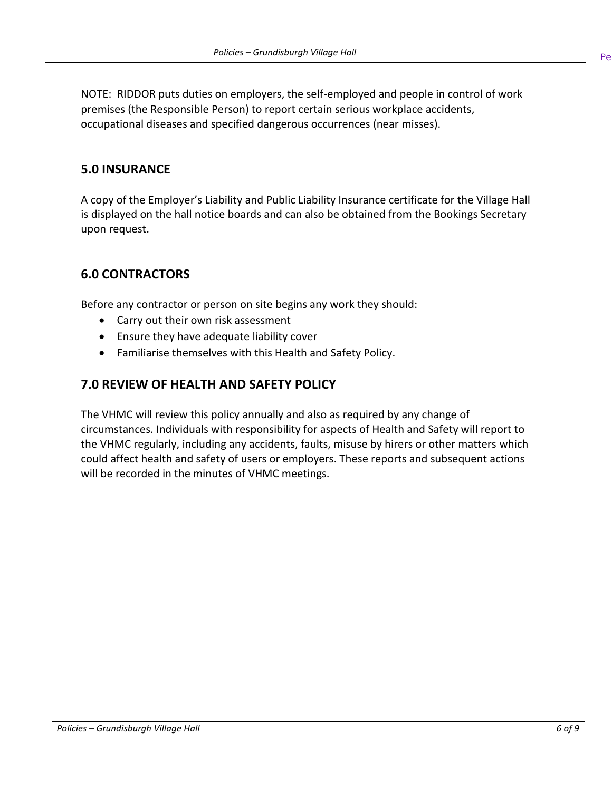NOTE: RIDDOR puts duties on employers, the self-employed and people in control of work premises (the Responsible Person) to report certain serious workplace accidents, occupational diseases and specified dangerous occurrences (near misses).

# **5.0 INSURANCE**

A copy of the Employer's Liability and Public Liability Insurance certificate for the Village Hall is displayed on the hall notice boards and can also be obtained from the Bookings Secretary upon request.

# **6.0 CONTRACTORS**

Before any contractor or person on site begins any work they should:

- Carry out their own risk assessment
- Ensure they have adequate liability cover
- Familiarise themselves with this Health and Safety Policy.

# **7.0 REVIEW OF HEALTH AND SAFETY POLICY**

The VHMC will review this policy annually and also as required by any change of circumstances. Individuals with responsibility for aspects of Health and Safety will report to the VHMC regularly, including any accidents, faults, misuse by hirers or other matters which could affect health and safety of users or employers. These reports and subsequent actions will be recorded in the minutes of VHMC meetings.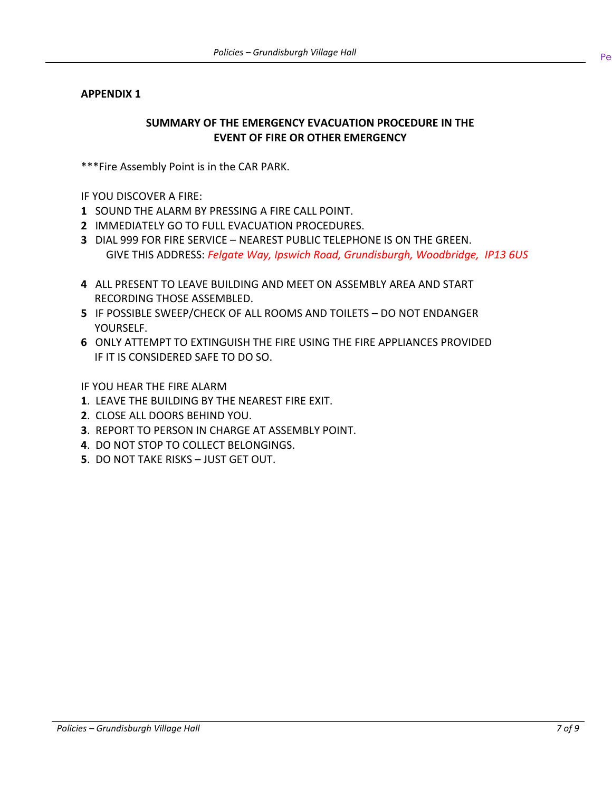#### **APPENDIX 1**

#### **SUMMARY OF THE EMERGENCY EVACUATION PROCEDURE IN THE EVENT OF FIRE OR OTHER EMERGENCY**

\*\*\*Fire Assembly Point is in the CAR PARK.

IF YOU DISCOVER A FIRE:

- **1** SOUND THE ALARM BY PRESSING A FIRE CALL POINT.
- **2** IMMEDIATELY GO TO FULL EVACUATION PROCEDURES.
- **3** DIAL 999 FOR FIRE SERVICE NEAREST PUBLIC TELEPHONE IS ON THE GREEN. GIVE THIS ADDRESS: *Felgate Way, Ipswich Road, Grundisburgh, Woodbridge, IP13 6US*
- **4** ALL PRESENT TO LEAVE BUILDING AND MEET ON ASSEMBLY AREA AND START RECORDING THOSE ASSEMBLED.
- **5** IF POSSIBLE SWEEP/CHECK OF ALL ROOMS AND TOILETS DO NOT ENDANGER YOURSELF.
- **6** ONLY ATTEMPT TO EXTINGUISH THE FIRE USING THE FIRE APPLIANCES PROVIDED IF IT IS CONSIDERED SAFE TO DO SO.

IF YOU HEAR THE FIRE ALARM

- **1**. LEAVE THE BUILDING BY THE NEAREST FIRE EXIT.
- **2**. CLOSE ALL DOORS BEHIND YOU.
- **3**. REPORT TO PERSON IN CHARGE AT ASSEMBLY POINT.
- **4**. DO NOT STOP TO COLLECT BELONGINGS.
- **5**. DO NOT TAKE RISKS JUST GET OUT.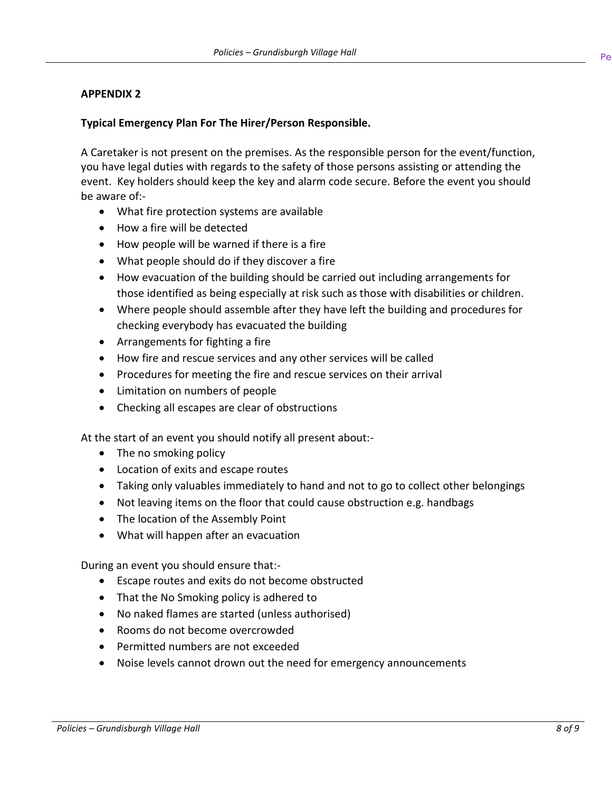#### **APPENDIX 2**

#### **Typical Emergency Plan For The Hirer/Person Responsible.**

A Caretaker is not present on the premises. As the responsible person for the event/function, you have legal duties with regards to the safety of those persons assisting or attending the event. Key holders should keep the key and alarm code secure. Before the event you should be aware of:-

- What fire protection systems are available
- How a fire will be detected
- How people will be warned if there is a fire
- What people should do if they discover a fire
- How evacuation of the building should be carried out including arrangements for those identified as being especially at risk such as those with disabilities or children.
- Where people should assemble after they have left the building and procedures for checking everybody has evacuated the building
- Arrangements for fighting a fire
- How fire and rescue services and any other services will be called
- Procedures for meeting the fire and rescue services on their arrival
- Limitation on numbers of people
- Checking all escapes are clear of obstructions

At the start of an event you should notify all present about:-

- The no smoking policy
- Location of exits and escape routes
- Taking only valuables immediately to hand and not to go to collect other belongings
- Not leaving items on the floor that could cause obstruction e.g. handbags
- The location of the Assembly Point
- What will happen after an evacuation

During an event you should ensure that:-

- Escape routes and exits do not become obstructed
- That the No Smoking policy is adhered to
- No naked flames are started (unless authorised)
- Rooms do not become overcrowded
- Permitted numbers are not exceeded
- Noise levels cannot drown out the need for emergency announcements